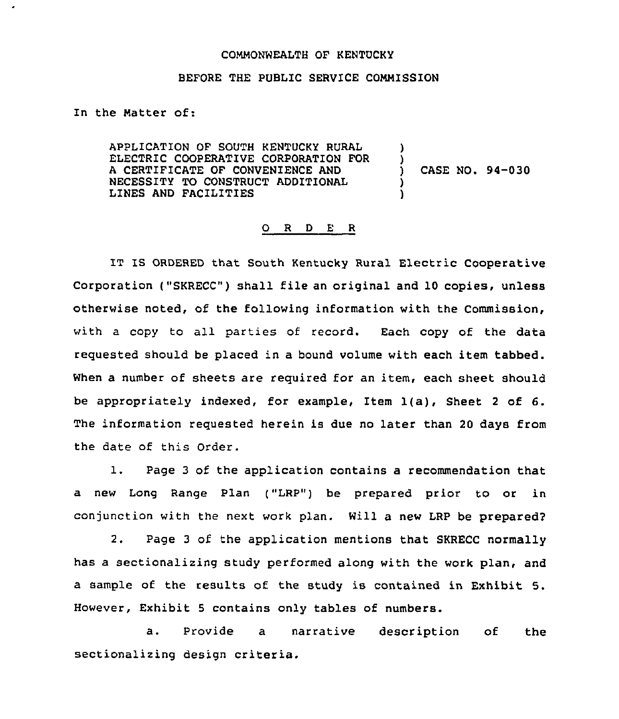## COMMONWEALTH OF KENTUCKY

## BEFORE THE PUBLIC SERVICE COMMISSION

Zn the Matter of:

 $\cdot$ 

APPLICATION OF SOUTH KENTUCKY RURAL ELECTRIC COOPERATIVE CORPORATION FOR A CERTIFICATE OF CONVENIENCE AND NECESSITY TO CONSTRUCT ADDITIONAL LINES AND FACILITIES ) )

) CASE NO. 94-030

## 0 <sup>R</sup> <sup>D</sup> E <sup>R</sup>

IT IS ORDERED that South Kentucky Rural Electric Cooperative Corporation ("SKRECC") shall file an original and 10 copies, unless otherwise noted, of the following information with the Commission, with a copy to all parties of record. Each copy of the data requested should be placed in a bound volume with each item tabbed. When a number of sheets are required for an item, each sheet should be appropriately indexed, for example, Item 1(a), Sheet <sup>2</sup> of 6. The information requested herein is due no later than 20 days from the date of this Order.

1. Page <sup>3</sup> of the application contains <sup>a</sup> recommendation that a new Long Range Plan ("LRP") be prepared prior to or in conjunction with the next work plan. Will a new LRP be prepared2

2. Page <sup>3</sup> of the application mentions that SKRECC normally has a sectionalizing study performed along with the work plan, and a sample of the results of the study is contained in Exhibit 5. However, Exhibit <sup>5</sup> contains only tables of numbers.

a. Provide a narrative description of the sectionalizing design criteria.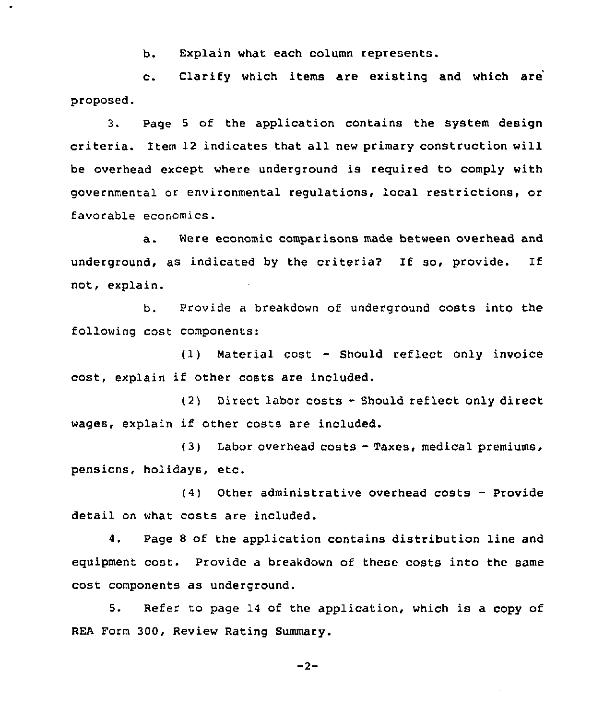b, Explain what each column represents.

×

c. Clarify which items are existing and which are proposed.

3. Page <sup>5</sup> of the application contains the system design criteria. Item 12 indicates that all new primary construction will be overhead except where underground is reguired to comply with governmental or environmental regulations, local restrictions, or favorable economics.

a. Were economic comparisons made between overhead and underground, as indicated by the criteria? If so, provide. If not, explain.

b. Provide a breakdown of underground costs into the following cost components:

 $(1)$  Material cost  $-$  Should reflect only invoice cost, explain if other costs are included.

(2) Direct labor costs - Should reflect only direct wages, explain if other costs are included.

(3) Labor overhead costs - Taxes, medical premiums, pensions, holidays, etc.

 $(4)$  Other administrative overhead costs - Provide detail on what costs are included.

4. Page 8 of the application contains distribution line and eguipment cost. Provide a breakdown of these costs into the same cost components as underground.

5. Refer to page 14 of the application, which is a copy of REA Form 300, Review Rating Summary.

$$
-2 -
$$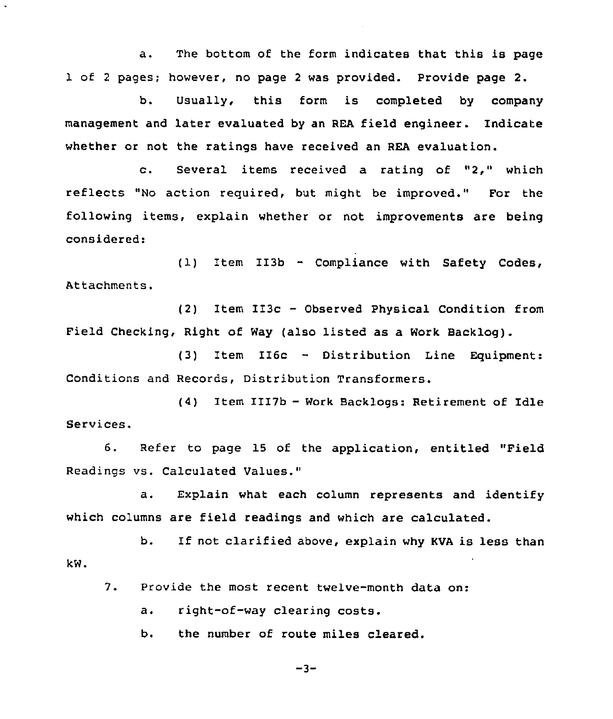a. The bottom of the form indicates that this is page 1 of <sup>2</sup> pages; however, no page <sup>2</sup> was provided. Provide page 2.

b. Usually, this form is completed by company management and later evaluated by an REA field engineer. Indicate whether or not the ratings have received an REA evaluation.

c. Several items received <sup>a</sup> rating of "2," which reflects "No action required, but might be improved." For the following items, explain whether or not improvements are being considered:

(1) Item II3b — Compliance with Safety Codes, Attachments.

(2) Item II3c — Observed Physical Condition from Field Checking, Right of Way (also listed as a Work Backlog).

(3) Item II6c - Distribution Line Equipment: Conditions and Records, Distribution Transformers.

(4) Item III7b - Work Backlogs: Retirement of Idle Services.

6. Refer to page 15 of the application, entitled "Field Readings vs. Calculated Values."

a, Explain what each column represents and identify which columns are field readings and which are calculated.

b. If not clarified above, explain why KVA is less than kw.

 $7.$ Provide the most recent twelve-month data on:

a. right-of-way clearing costs.

Ь. the number of route miles cleared.

 $-3-$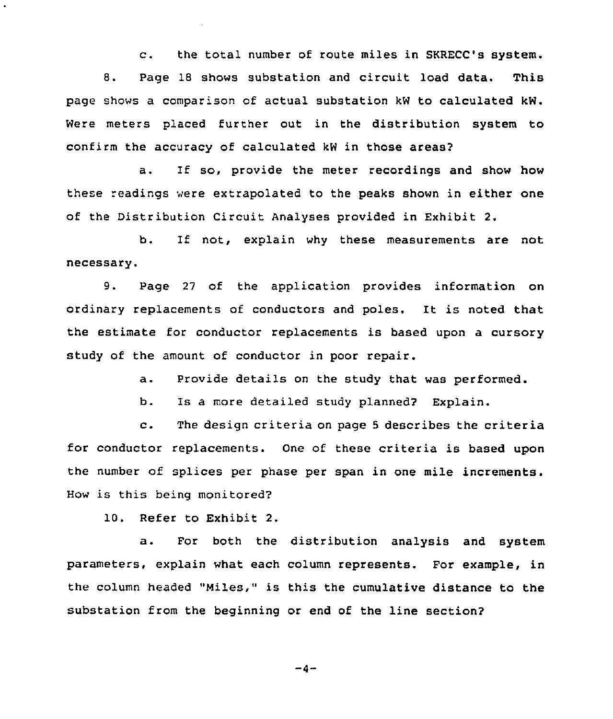c. the total number of route miles in SKRECC's system. 8. Page 18 shows substation and circuit load data. This page shows a comparison of actual substation kW to calculated kW. Were meters placed further out in the distribution system to confirm the accuracy of calculated kW in those areas2

a. If so, provide the meter recordings and show how these readings were extrapolated to the peaks shown in either one of the Distribution Circuit Analyses provided in Exhibit 2.

b. If not, explain why these measurements are not necessary.

9. Page <sup>27</sup> of the application provides information on ordinary replacements of conductors and poles. It is noted that the estimate for conductor replacements is based upon a cursory study of the amount of conductor in poor repair.

a. Provide details on the study that was performed.

b. Is a more detailed study planned? Explain.

c. The design criteria on page <sup>5</sup> describes the criteria for conductor replacements. One of these criteria is based upon the number of splices per phase per span in one mile increments. How is this being monitored?

10. Refer to Exhibit 2.

a. For both the distribution analysis and system parameters, explain what each column represents. For example, in the column headed "Miles," is this the cumulative distance to the substation from the beginning or end of the line section?

$$
-4-
$$